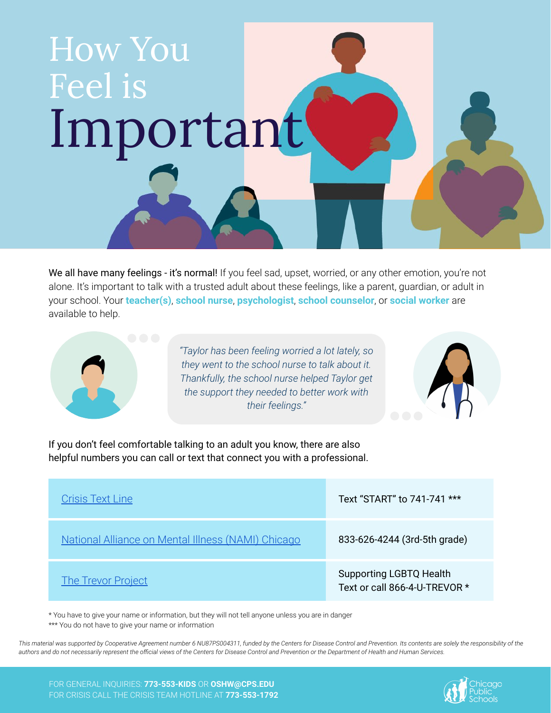

We all have many feelings - it's normal! If you feel sad, upset, worried, or any other emotion, you're not alone. It's important to talk with a trusted adult about these feelings, like a parent, guardian, or adult in your school. Your **teacher(s)**, **school nurse**, **psychologist**, **school counselor**, or **social worker** are available to help.



*"Taylor has been feeling worried a lot lately, so they went to the school nurse to talk about it. Thankfully, the school nurse helped Taylor get the support they needed to better work with their feelings."*



If you don't feel comfortable talking to an adult you know, there are also helpful numbers you can call or text that connect you with a professional.

| <b>Crisis Text Line</b>                            | Text "START" to 741-741 ***                                     |
|----------------------------------------------------|-----------------------------------------------------------------|
| National Alliance on Mental Illness (NAMI) Chicago | 833-626-4244 (3rd-5th grade)                                    |
| <b>The Trevor Project</b>                          | <b>Supporting LGBTQ Health</b><br>Text or call 866-4-U-TREVOR * |

\* You have to give your name or information, but they will not tell anyone unless you are in danger \*\*\* You do not have to give your name or information

This material was supported by Cooperative Agreement number 6 NU87PS004311, funded by the Centers for Disease Control and Prevention. Its contents are solely the responsibility of the *authors and do not necessarily represent the official views of the Centers for Disease Control and Prevention or the Department of Health and Human Services.*